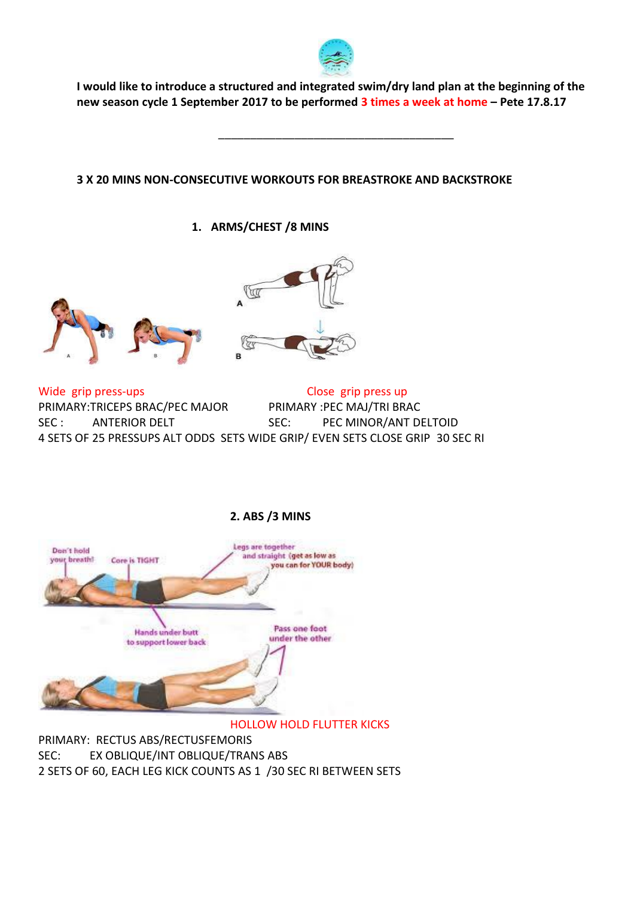

**I would like to introduce a structured and integrated swim/dry land plan at the beginning of the new season cycle 1 September 2017 to be performed 3 times a week at home – Pete 17.8.17**

\_\_\_\_\_\_\_\_\_\_\_\_\_\_\_\_\_\_\_\_\_\_\_\_\_\_\_\_\_\_\_\_\_\_\_\_\_

# **3 X 20 MINS NON-CONSECUTIVE WORKOUTS FOR BREASTROKE AND BACKSTROKE**

# **1. ARMS/CHEST /8 MINS**





Wide grip press-ups Close grip press up PRIMARY:TRICEPS BRAC/PEC MAJOR PRIMARY :PEC MAJ/TRI BRAC SEC : ANTERIOR DELT SEC: PEC MINOR/ANT DELTOID 4 SETS OF 25 PRESSUPS ALT ODDS SETS WIDE GRIP/ EVEN SETS CLOSE GRIP 30 SEC RI



# **2. ABS /3 MINS**

## HOLLOW HOLD FLUTTER KICKS

PRIMARY: RECTUS ABS/RECTUSFEMORIS SEC: EX OBLIQUE/INT OBLIQUE/TRANS ABS 2 SETS OF 60, EACH LEG KICK COUNTS AS 1 /30 SEC RI BETWEEN SETS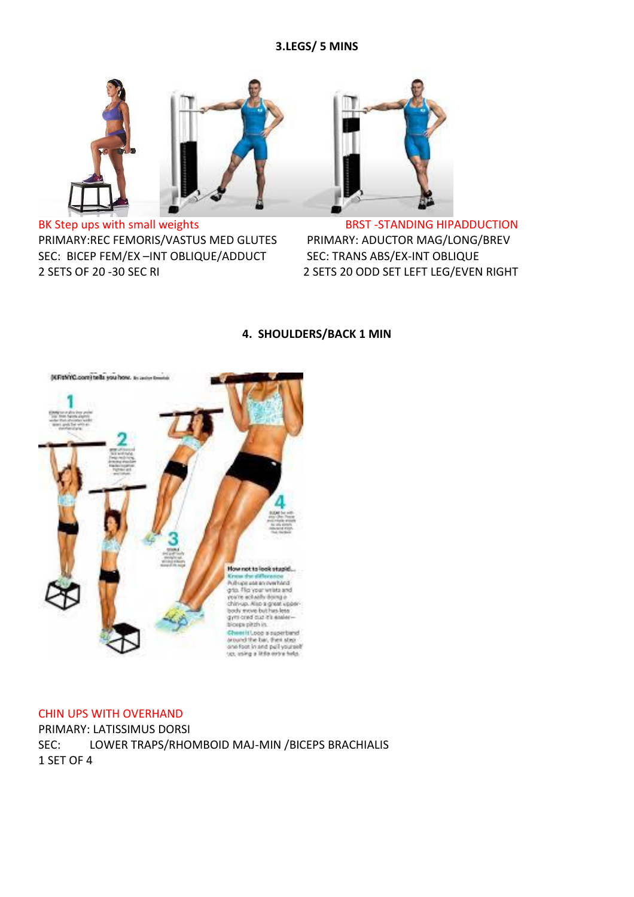## **3.LEGS/ 5 MINS**



BK Step ups with small weights BRST -STANDING HIPADDUCTION PRIMARY:REC FEMORIS/VASTUS MED GLUTES PRIMARY: ADUCTOR MAG/LONG/BREV SEC: BICEP FEM/EX –INT OBLIQUE/ADDUCT SEC: TRANS ABS/EX-INT OBLIQUE 2 SETS OF 20 -30 SEC RI 2 SETS 20 ODD SET LEFT LEG/EVEN RIGHT



### **4. SHOULDERS/BACK 1 MIN**



### CHIN UPS WITH OVERHAND

PRIMARY: LATISSIMUS DORSI SEC: LOWER TRAPS/RHOMBOID MAJ-MIN /BICEPS BRACHIALIS 1 SET OF 4